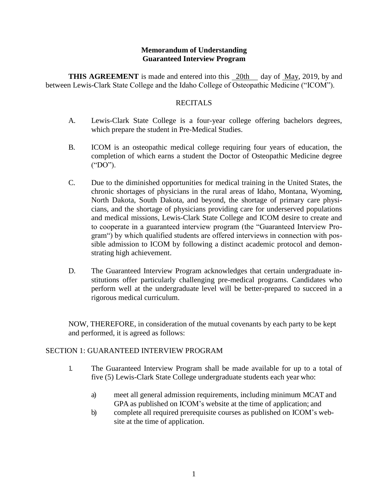### **Memorandum of Understanding Guaranteed Interview Program**

**THIS AGREEMENT** is made and entered into this 20th day of May, 2019, by and between Lewis-Clark State College and the Idaho College of Osteopathic Medicine ("ICOM").

### **RECITALS**

- A. Lewis-Clark State College is a four-year college offering bachelors degrees, which prepare the student in Pre-Medical Studies.
- B. ICOM is an osteopathic medical college requiring four years of education, the completion of which earns a student the Doctor of Osteopathic Medicine degree ("DO").
- C. Due to the diminished opportunities for medical training in the United States, the chronic shortages of physicians in the rural areas of Idaho, Montana, Wyoming, North Dakota, South Dakota, and beyond, the shortage of primary care physicians, and the shortage of physicians providing care for underserved populations and medical missions, Lewis-Clark State College and ICOM desire to create and to cooperate in a guaranteed interview program (the "Guaranteed Interview Program") by which qualified students are offered interviews in connection with possible admission to ICOM by following a distinct academic protocol and demonstrating high achievement.
- D. The Guaranteed Interview Program acknowledges that certain undergraduate institutions offer particularly challenging pre-medical programs. Candidates who perform well at the undergraduate level will be better-prepared to succeed in a rigorous medical curriculum.

NOW, THEREFORE, in consideration of the mutual covenants by each party to be kept and performed, it is agreed as follows:

## SECTION 1: GUARANTEED INTERVIEW PROGRAM

- 1. The Guaranteed Interview Program shall be made available for up to a total of five (5) Lewis-Clark State College undergraduate students each year who:
	- a) meet all general admission requirements, including minimum MCAT and GPA as published on ICOM's website at the time of application; and
	- b) complete all required prerequisite courses as published on ICOM's website at the time of application.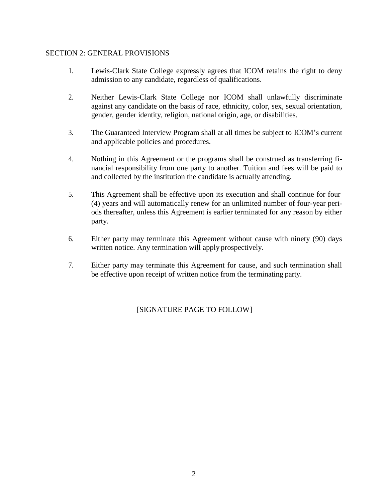### SECTION 2: GENERAL PROVISIONS

- 1. Lewis-Clark State College expressly agrees that ICOM retains the right to deny admission to any candidate, regardless of qualifications.
- 2. Neither Lewis-Clark State College nor ICOM shall unlawfully discriminate against any candidate on the basis of race, ethnicity, color, sex, sexual orientation, gender, gender identity, religion, national origin, age, or disabilities.
- 3. The Guaranteed Interview Program shall at all times be subject to ICOM's current and applicable policies and procedures.
- 4. Nothing in this Agreement or the programs shall be construed as transferring financial responsibility from one party to another. Tuition and fees will be paid to and collected by the institution the candidate is actually attending.
- 5. This Agreement shall be effective upon its execution and shall continue for four (4) years and will automatically renew for an unlimited number of four-year periods thereafter, unless this Agreement is earlier terminated for any reason by either party.
- 6. Either party may terminate this Agreement without cause with ninety (90) days written notice. Any termination will apply prospectively.
- 7. Either party may terminate this Agreement for cause, and such termination shall be effective upon receipt of written notice from the terminating party.

[SIGNATURE PAGE TO FOLLOW]